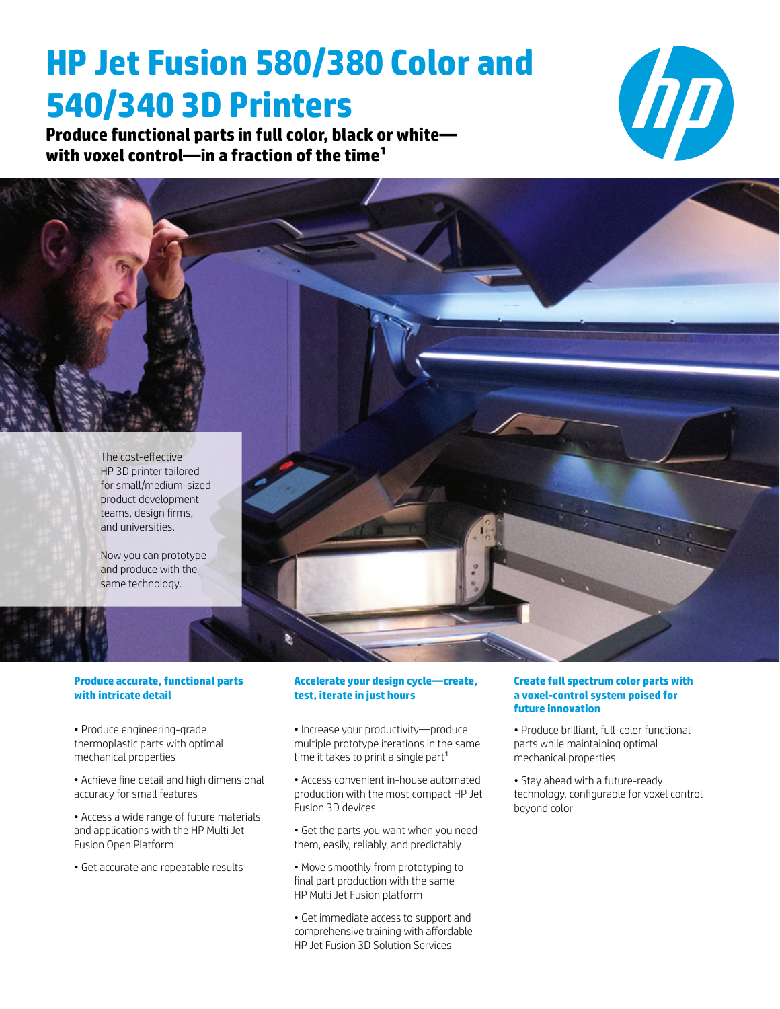# **HP Jet Fusion 580/380 Color and 540/340 3D Printers**

**Produce functional parts in full color, black or white with voxel control—in a fraction of the time1**





Now you can prototype and produce with the same technology.

#### **Produce accurate, functional parts with intricate detail**

- Produce engineering-grade thermoplastic parts with optimal mechanical properties
- Achieve fine detail and high dimensional accuracy for small features
- Access a wide range of future materials and applications with the HP Multi Jet Fusion Open Platform
- Get accurate and repeatable results

#### **Accelerate your design cycle—create, test, iterate in just hours**

- Increase your productivity—produce multiple prototype iterations in the same time it takes to print a single part $1$
- Access convenient in-house automated production with the most compact HP Jet Fusion 3D devices
- Get the parts you want when you need them, easily, reliably, and predictably
- Move smoothly from prototyping to final part production with the same HP Multi Jet Fusion platform
- Get immediate access to support and comprehensive training with affordable HP Jet Fusion 3D Solution Services

#### **Create full spectrum color parts with a voxel-control system poised for future innovation**

- Produce brilliant, full-color functional parts while maintaining optimal mechanical properties
- Stay ahead with a future-ready technology, configurable for voxel control beyond color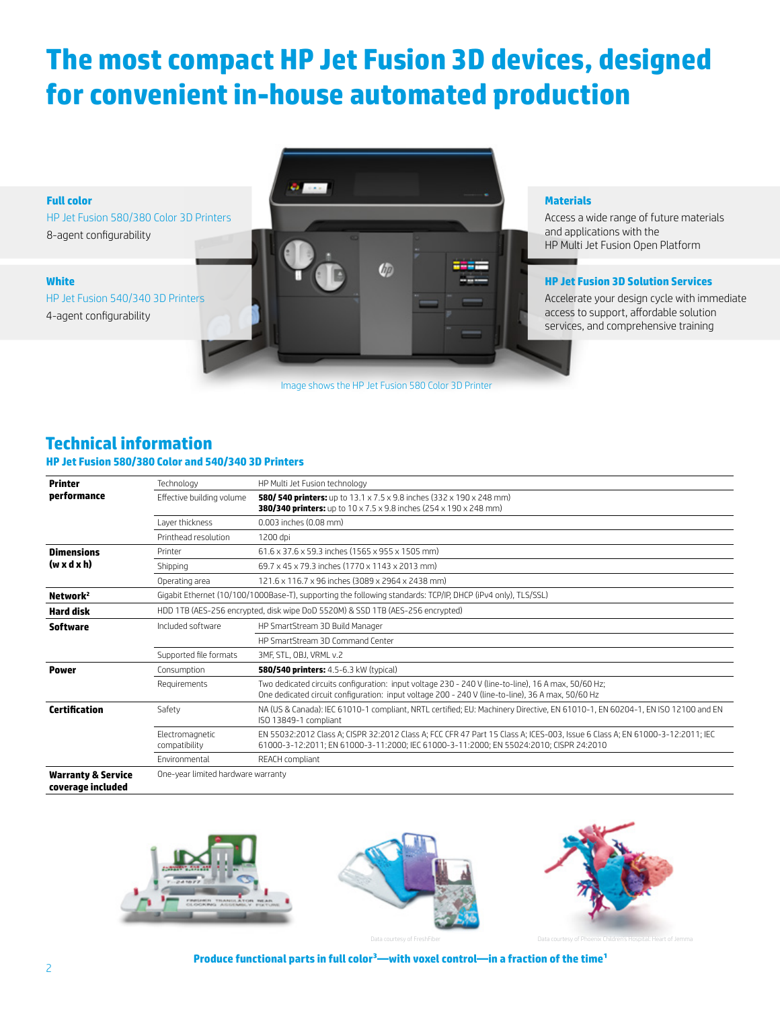# **The most compact HP Jet Fusion 3D devices, designed for convenient in-house automated production**



Image shows the HP Jet Fusion 580 Color 3D Printer

#### **Materials**

Access a wide range of future materials and applications with the HP Multi Jet Fusion Open Platform

#### **HP Jet Fusion 3D Solution Services**

Accelerate your design cycle with immediate access to support, affordable solution services, and comprehensive training

# **Technical information**

#### **HP Jet Fusion 580/380 Color and 540/340 3D Printers**

| <b>Printer</b>                                     | Technology                                                                                                   | HP Multi Jet Fusion technology                                                                                                                                                                                         |  |  |  |  |  |
|----------------------------------------------------|--------------------------------------------------------------------------------------------------------------|------------------------------------------------------------------------------------------------------------------------------------------------------------------------------------------------------------------------|--|--|--|--|--|
| performance                                        | Effective building volume                                                                                    | <b>580/ 540 printers:</b> up to $13.1 \times 7.5 \times 9.8$ inches (332 $\times$ 190 $\times$ 248 mm)<br><b>380/340 printers:</b> up to $10 \times 7.5 \times 9.8$ inches (254 $\times$ 190 $\times$ 248 mm)          |  |  |  |  |  |
|                                                    |                                                                                                              |                                                                                                                                                                                                                        |  |  |  |  |  |
|                                                    | Laver thickness                                                                                              | 0.003 inches (0.08 mm)                                                                                                                                                                                                 |  |  |  |  |  |
|                                                    | Printhead resolution                                                                                         | 1200 dpi                                                                                                                                                                                                               |  |  |  |  |  |
| <b>Dimensions</b>                                  | Printer                                                                                                      | 61.6 x 37.6 x 59.3 inches (1565 x 955 x 1505 mm)                                                                                                                                                                       |  |  |  |  |  |
| $(w \times d \times h)$                            | Shipping                                                                                                     | 69.7 x 45 x 79.3 inches (1770 x 1143 x 2013 mm)                                                                                                                                                                        |  |  |  |  |  |
|                                                    | Operating area                                                                                               | 121.6 x 116.7 x 96 inches (3089 x 2964 x 2438 mm)                                                                                                                                                                      |  |  |  |  |  |
| Network <sup>2</sup>                               | Gigabit Ethernet (10/100/1000Base-T), supporting the following standards: TCP/IP, DHCP (iPv4 only), TLS/SSL) |                                                                                                                                                                                                                        |  |  |  |  |  |
| <b>Hard disk</b>                                   | HDD 1TB (AES-256 encrypted, disk wipe DoD 5520M) & SSD 1TB (AES-256 encrypted)                               |                                                                                                                                                                                                                        |  |  |  |  |  |
| <b>Software</b>                                    | Included software                                                                                            | HP SmartStream 3D Build Manager                                                                                                                                                                                        |  |  |  |  |  |
|                                                    |                                                                                                              | HP SmartStream 3D Command Center                                                                                                                                                                                       |  |  |  |  |  |
|                                                    | Supported file formats                                                                                       | 3MF, STL, OBJ, VRML v.2                                                                                                                                                                                                |  |  |  |  |  |
| Power                                              | Consumption                                                                                                  | <b>580/540 printers:</b> 4.5-6.3 kW (typical)                                                                                                                                                                          |  |  |  |  |  |
|                                                    | Requirements                                                                                                 | Two dedicated circuits configuration: input voltage 230 - 240 V (line-to-line), 16 A max, 50/60 Hz;<br>One dedicated circuit configuration: input voltage 200 - 240 V (line-to-line), 36 A max, 50/60 Hz               |  |  |  |  |  |
| Certification                                      | Safety                                                                                                       | NA (US & Canada): IEC 61010-1 compliant, NRTL certified; EU: Machinery Directive, EN 61010-1, EN 60204-1, EN ISO 12100 and EN<br>ISO 13849-1 compliant                                                                 |  |  |  |  |  |
|                                                    | Electromagnetic<br>compatibility                                                                             | EN 55032:2012 Class A; CISPR 32:2012 Class A; FCC CFR 47 Part 15 Class A; ICES-003, Issue 6 Class A; EN 61000-3-12:2011; IEC<br>61000-3-12:2011; EN 61000-3-11:2000; IEC 61000-3-11:2000; EN 55024:2010; CISPR 24:2010 |  |  |  |  |  |
|                                                    | Fnvironmental                                                                                                | REACH compliant                                                                                                                                                                                                        |  |  |  |  |  |
| <b>Warranty &amp; Service</b><br>coverage included | One-year limited hardware warranty                                                                           |                                                                                                                                                                                                                        |  |  |  |  |  |



Data courtesy of FreshFiber Data courtesy of Phoenix Children's Hospital: Heart of Jemma

#### **Produce functional parts in full color3—with voxel control—in a fraction of the time1**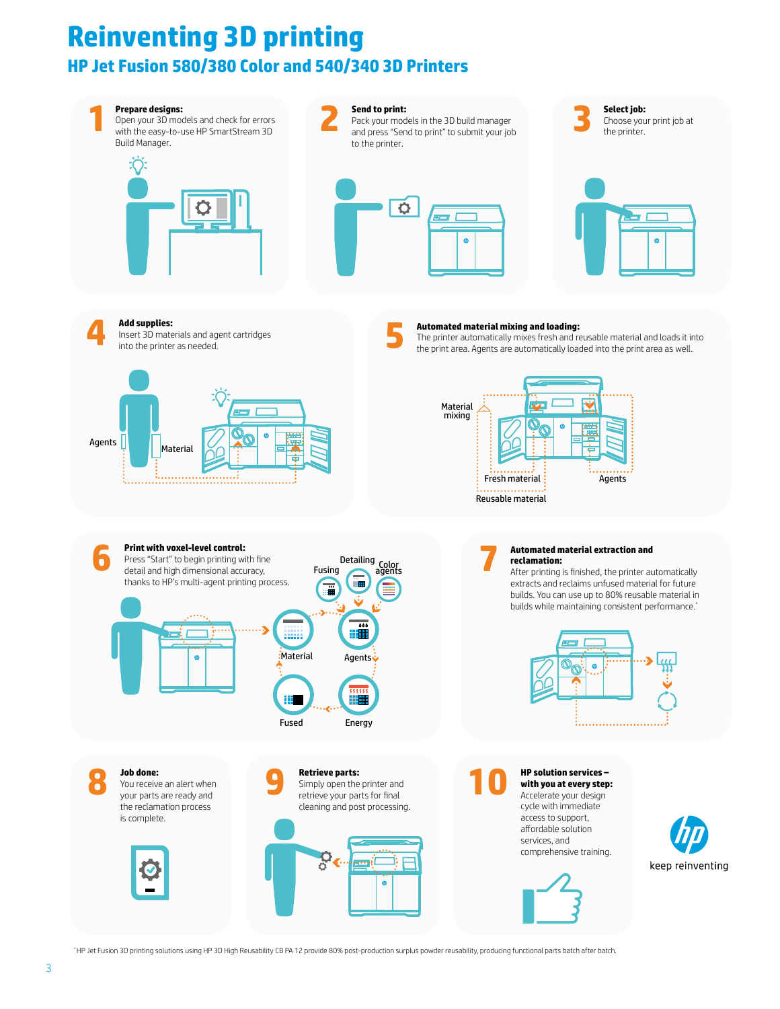# Reinventing 3D printing HP Jet Fusion 580/380 Color and 540/340 3D Printers **Reinventing 3D printing HP Jet Fusion 580/380 Color and 540/340 3D Printers**



\* HP Jet Fusion 3D printing solutions using HP 3D High Reusability CB PA 12 provide 80% post-production surplus powder reusability, producing functional parts batch after batch.